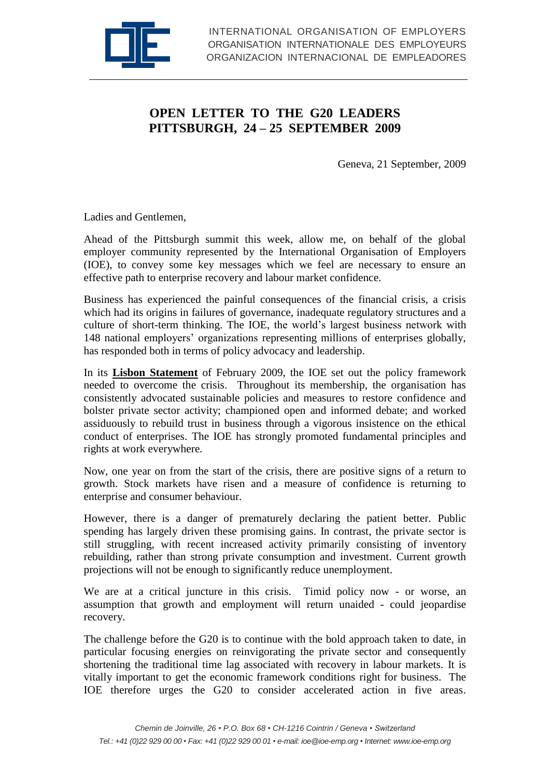

## **OPEN LETTER TO THE G20 LEADERS PITTSBURGH, 24 – 25 SEPTEMBER 2009**

Geneva, 21 September, 2009

Ladies and Gentlemen,

Ahead of the Pittsburgh summit this week, allow me, on behalf of the global employer community represented by the International Organisation of Employers (IOE), to convey some key messages which we feel are necessary to ensure an effective path to enterprise recovery and labour market confidence.

Business has experienced the painful consequences of the financial crisis, a crisis which had its origins in failures of governance, inadequate regulatory structures and a culture of short-term thinking. The IOE, the world's largest business network with 148 national employers' organizations representing millions of enterprises globally, has responded both in terms of policy advocacy and leadership.

In its **[Lisbon Statement](http://www.ioe-emp.org/fileadmin/user_upload/documents_pdf/papers/statements_resolutions/english/state_200902_lisbon.pdf)** of February 2009, the IOE set out the policy framework needed to overcome the crisis. Throughout its membership, the organisation has consistently advocated sustainable policies and measures to restore confidence and bolster private sector activity; championed open and informed debate; and worked assiduously to rebuild trust in business through a vigorous insistence on the ethical conduct of enterprises. The IOE has strongly promoted fundamental principles and rights at work everywhere*.*

Now, one year on from the start of the crisis, there are positive signs of a return to growth. Stock markets have risen and a measure of confidence is returning to enterprise and consumer behaviour.

However, there is a danger of prematurely declaring the patient better. Public spending has largely driven these promising gains. In contrast, the private sector is still struggling, with recent increased activity primarily consisting of inventory rebuilding, rather than strong private consumption and investment. Current growth projections will not be enough to significantly reduce unemployment.

We are at a critical juncture in this crisis. Timid policy now - or worse, an assumption that growth and employment will return unaided - could jeopardise recovery.

The challenge before the G20 is to continue with the bold approach taken to date, in particular focusing energies on reinvigorating the private sector and consequently shortening the traditional time lag associated with recovery in labour markets. It is vitally important to get the economic framework conditions right for business. The IOE therefore urges the G20 to consider accelerated action in five areas.